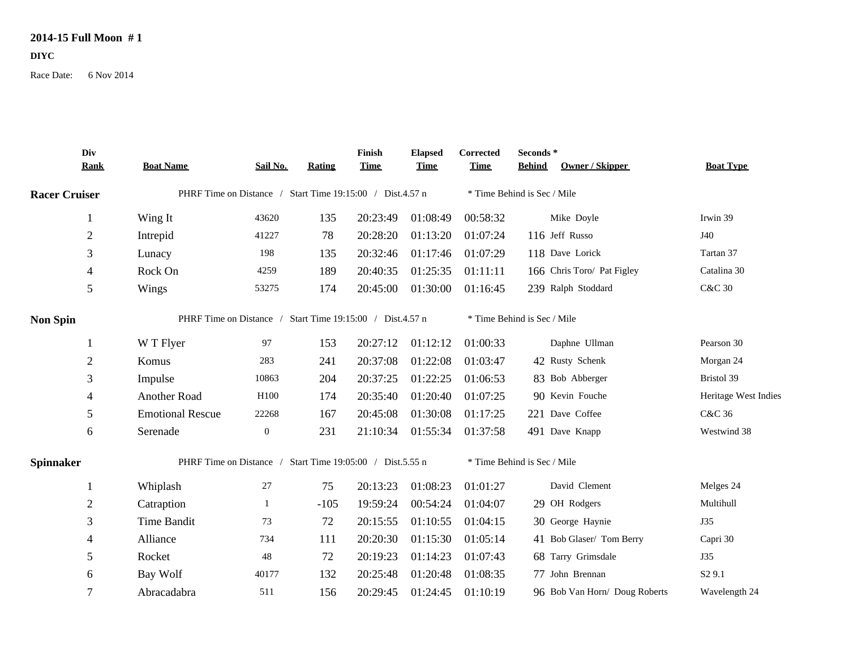## **2014-15 Full Moon # 1**

## **DIYC**

Race Date: 6 Nov 2014

|                      | Div            |                                                           |                  |               | Finish      | <b>Elapsed</b> | Corrected                   | Seconds*      |                               |                      |
|----------------------|----------------|-----------------------------------------------------------|------------------|---------------|-------------|----------------|-----------------------------|---------------|-------------------------------|----------------------|
|                      | <b>Rank</b>    | <b>Boat Name</b>                                          | Sail No.         | <b>Rating</b> | <b>Time</b> | <b>Time</b>    | <b>Time</b>                 | <b>Behind</b> | <b>Owner / Skipper</b>        | <b>Boat Type</b>     |
| <b>Racer Cruiser</b> |                | PHRF Time on Distance / Start Time 19:15:00 / Dist.4.57 n |                  |               |             |                | * Time Behind is Sec / Mile |               |                               |                      |
|                      |                | Wing It                                                   | 43620            | 135           | 20:23:49    | 01:08:49       | 00:58:32                    |               | Mike Doyle                    | Irwin 39             |
|                      | $\mathbf{2}$   | Intrepid                                                  | 41227            | 78            | 20:28:20    | 01:13:20       | 01:07:24                    |               | 116 Jeff Russo                | J40                  |
|                      | 3              | Lunacy                                                    | 198              | 135           | 20:32:46    | 01:17:46       | 01:07:29                    |               | 118 Dave Lorick               | Tartan 37            |
|                      | $\overline{4}$ | Rock On                                                   | 4259             | 189           | 20:40:35    | 01:25:35       | 01:11:11                    |               | 166 Chris Toro/ Pat Figley    | Catalina 30          |
|                      | 5              | Wings                                                     | 53275            | 174           | 20:45:00    | 01:30:00       | 01:16:45                    |               | 239 Ralph Stoddard            | <b>C&amp;C 30</b>    |
| <b>Non Spin</b>      |                | PHRF Time on Distance / Start Time 19:15:00 / Dist.4.57 n |                  |               |             |                | * Time Behind is Sec / Mile |               |                               |                      |
|                      |                | W T Flyer                                                 | 97               | 153           | 20:27:12    | 01:12:12       | 01:00:33                    |               | Daphne Ullman                 | Pearson 30           |
|                      | $\overline{2}$ | Komus                                                     | 283              | 241           | 20:37:08    | 01:22:08       | 01:03:47                    |               | 42 Rusty Schenk               | Morgan 24            |
|                      | 3              | Impulse                                                   | 10863            | 204           | 20:37:25    | 01:22:25       | 01:06:53                    |               | 83 Bob Abberger               | Bristol 39           |
|                      | 4              | Another Road                                              | H100             | 174           | 20:35:40    | 01:20:40       | 01:07:25                    |               | 90 Kevin Fouche               | Heritage West Indies |
|                      | 5              | <b>Emotional Rescue</b>                                   | 22268            | 167           | 20:45:08    | 01:30:08       | 01:17:25                    |               | 221 Dave Coffee               | C&C 36               |
|                      | 6              | Serenade                                                  | $\boldsymbol{0}$ | 231           | 21:10:34    | 01:55:34       | 01:37:58                    |               | 491 Dave Knapp                | Westwind 38          |
| <b>Spinnaker</b>     |                | PHRF Time on Distance / Start Time 19:05:00 / Dist.5.55 n |                  |               |             |                | * Time Behind is Sec / Mile |               |                               |                      |
|                      |                | Whiplash                                                  | $27\,$           | 75            | 20:13:23    | 01:08:23       | 01:01:27                    |               | David Clement                 | Melges 24            |
|                      | $\overline{2}$ | Catraption                                                |                  | $-105$        | 19:59:24    | 00:54:24       | 01:04:07                    |               | 29 OH Rodgers                 | Multihull            |
|                      | 3              | Time Bandit                                               | 73               | 72            | 20:15:55    | 01:10:55       | 01:04:15                    |               | 30 George Haynie              | <b>J35</b>           |
|                      | 4              | Alliance                                                  | 734              | 111           | 20:20:30    | 01:15:30       | 01:05:14                    |               | 41 Bob Glaser/ Tom Berry      | Capri 30             |
|                      | 5              | Rocket                                                    | 48               | 72            | 20:19:23    | 01:14:23       | 01:07:43                    |               | 68 Tarry Grimsdale            | <b>J35</b>           |
|                      | 6              | Bay Wolf                                                  | 40177            | 132           | 20:25:48    | 01:20:48       | 01:08:35                    |               | 77 John Brennan               | S <sub>2</sub> 9.1   |
|                      | $\overline{7}$ | Abracadabra                                               | 511              | 156           | 20:29:45    | 01:24:45       | 01:10:19                    |               | 96 Bob Van Horn/ Doug Roberts | Wavelength 24        |